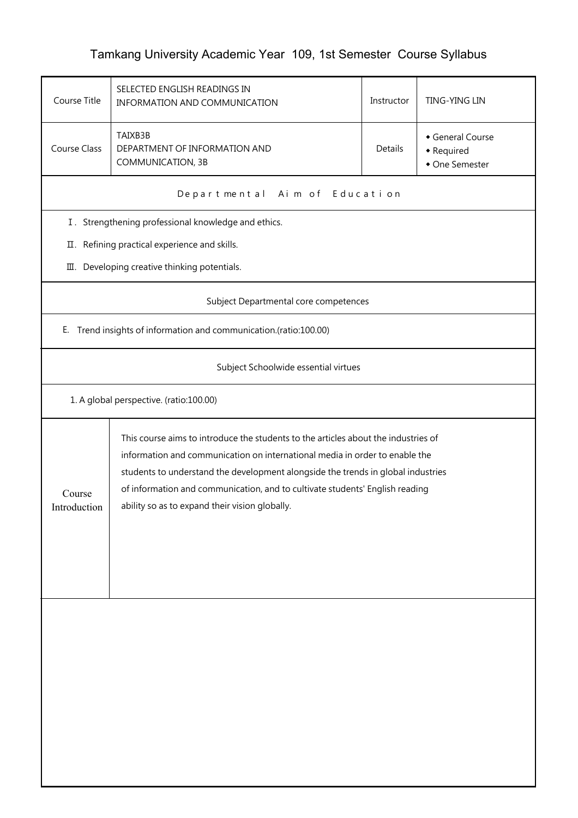## Tamkang University Academic Year 109, 1st Semester Course Syllabus

| Course Title                                        | SELECTED ENGLISH READINGS IN<br>INFORMATION AND COMMUNICATION                                                                                                                                                                                                                                                                                                                           | Instructor | <b>TING-YING LIN</b>                           |  |  |  |  |  |
|-----------------------------------------------------|-----------------------------------------------------------------------------------------------------------------------------------------------------------------------------------------------------------------------------------------------------------------------------------------------------------------------------------------------------------------------------------------|------------|------------------------------------------------|--|--|--|--|--|
| <b>Course Class</b>                                 | TAIXB3B<br>DEPARTMENT OF INFORMATION AND<br>COMMUNICATION, 3B                                                                                                                                                                                                                                                                                                                           | Details    | General Course<br>• Required<br>• One Semester |  |  |  |  |  |
|                                                     | Departmental Aim of Education                                                                                                                                                                                                                                                                                                                                                           |            |                                                |  |  |  |  |  |
| I. Strengthening professional knowledge and ethics. |                                                                                                                                                                                                                                                                                                                                                                                         |            |                                                |  |  |  |  |  |
| П.                                                  | Refining practical experience and skills.                                                                                                                                                                                                                                                                                                                                               |            |                                                |  |  |  |  |  |
| Developing creative thinking potentials.<br>Ш.      |                                                                                                                                                                                                                                                                                                                                                                                         |            |                                                |  |  |  |  |  |
| Subject Departmental core competences               |                                                                                                                                                                                                                                                                                                                                                                                         |            |                                                |  |  |  |  |  |
| Е.                                                  | Trend insights of information and communication.(ratio:100.00)                                                                                                                                                                                                                                                                                                                          |            |                                                |  |  |  |  |  |
|                                                     | Subject Schoolwide essential virtues                                                                                                                                                                                                                                                                                                                                                    |            |                                                |  |  |  |  |  |
|                                                     | 1. A global perspective. (ratio:100.00)                                                                                                                                                                                                                                                                                                                                                 |            |                                                |  |  |  |  |  |
| Course<br>Introduction                              | This course aims to introduce the students to the articles about the industries of<br>information and communication on international media in order to enable the<br>students to understand the development alongside the trends in global industries<br>of information and communication, and to cultivate students' English reading<br>ability so as to expand their vision globally. |            |                                                |  |  |  |  |  |
|                                                     |                                                                                                                                                                                                                                                                                                                                                                                         |            |                                                |  |  |  |  |  |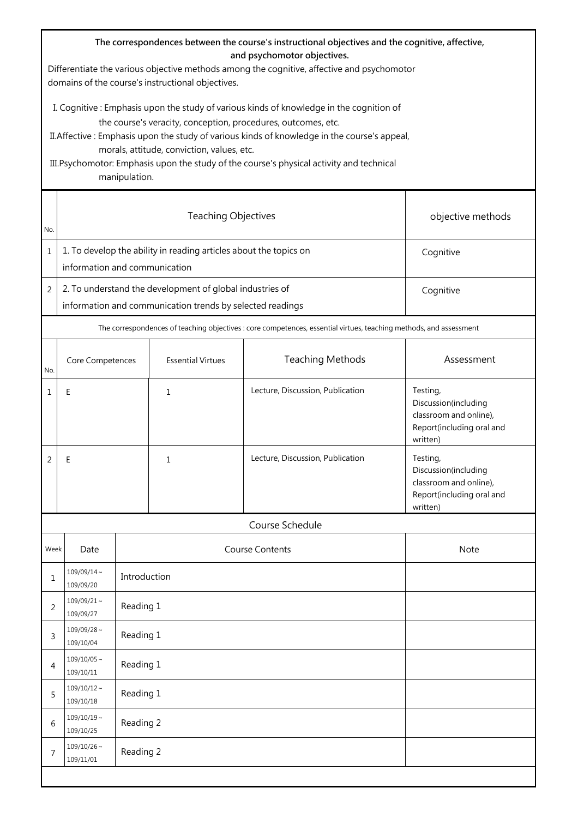| The correspondences between the course's instructional objectives and the cognitive, affective,<br>and psychomotor objectives.<br>Differentiate the various objective methods among the cognitive, affective and psychomotor<br>domains of the course's instructional objectives.                                                                                                                                    |                                                                                                                                    |              |                          |                                                                                                                    |                                                                                                     |  |  |
|----------------------------------------------------------------------------------------------------------------------------------------------------------------------------------------------------------------------------------------------------------------------------------------------------------------------------------------------------------------------------------------------------------------------|------------------------------------------------------------------------------------------------------------------------------------|--------------|--------------------------|--------------------------------------------------------------------------------------------------------------------|-----------------------------------------------------------------------------------------------------|--|--|
| I. Cognitive: Emphasis upon the study of various kinds of knowledge in the cognition of<br>the course's veracity, conception, procedures, outcomes, etc.<br>II. Affective: Emphasis upon the study of various kinds of knowledge in the course's appeal,<br>morals, attitude, conviction, values, etc.<br>III. Psychomotor: Emphasis upon the study of the course's physical activity and technical<br>manipulation. |                                                                                                                                    |              |                          |                                                                                                                    |                                                                                                     |  |  |
| No.                                                                                                                                                                                                                                                                                                                                                                                                                  | <b>Teaching Objectives</b><br>objective methods                                                                                    |              |                          |                                                                                                                    |                                                                                                     |  |  |
| $\mathbf 1$                                                                                                                                                                                                                                                                                                                                                                                                          | 1. To develop the ability in reading articles about the topics on<br>information and communication                                 |              |                          | Cognitive                                                                                                          |                                                                                                     |  |  |
| 2                                                                                                                                                                                                                                                                                                                                                                                                                    | 2. To understand the development of global industries of<br>Cognitive<br>information and communication trends by selected readings |              |                          |                                                                                                                    |                                                                                                     |  |  |
|                                                                                                                                                                                                                                                                                                                                                                                                                      |                                                                                                                                    |              |                          | The correspondences of teaching objectives : core competences, essential virtues, teaching methods, and assessment |                                                                                                     |  |  |
| No.                                                                                                                                                                                                                                                                                                                                                                                                                  | Core Competences                                                                                                                   |              | <b>Essential Virtues</b> | <b>Teaching Methods</b>                                                                                            | Assessment                                                                                          |  |  |
| 1                                                                                                                                                                                                                                                                                                                                                                                                                    | Ε                                                                                                                                  |              | $\mathbf{1}$             | Lecture, Discussion, Publication                                                                                   | Testing,<br>Discussion(including<br>classroom and online),<br>Report(including oral and<br>written) |  |  |
| 2                                                                                                                                                                                                                                                                                                                                                                                                                    | Ε                                                                                                                                  |              | 1                        | Lecture, Discussion, Publication                                                                                   | Testing,<br>Discussion(including<br>classroom and online),<br>Report(including oral and<br>written) |  |  |
| Course Schedule                                                                                                                                                                                                                                                                                                                                                                                                      |                                                                                                                                    |              |                          |                                                                                                                    |                                                                                                     |  |  |
| Week                                                                                                                                                                                                                                                                                                                                                                                                                 | Date                                                                                                                               |              |                          | <b>Course Contents</b>                                                                                             | Note                                                                                                |  |  |
| 1                                                                                                                                                                                                                                                                                                                                                                                                                    | $109/09/14 \sim$<br>109/09/20                                                                                                      | Introduction |                          |                                                                                                                    |                                                                                                     |  |  |
| 2                                                                                                                                                                                                                                                                                                                                                                                                                    | $109/09/21$ ~<br>109/09/27                                                                                                         |              | Reading 1                |                                                                                                                    |                                                                                                     |  |  |
| 3                                                                                                                                                                                                                                                                                                                                                                                                                    | $109/09/28$ ~<br>109/10/04                                                                                                         | Reading 1    |                          |                                                                                                                    |                                                                                                     |  |  |
| 4                                                                                                                                                                                                                                                                                                                                                                                                                    | $109/10/05 \sim$<br>109/10/11                                                                                                      |              | Reading 1                |                                                                                                                    |                                                                                                     |  |  |
| 5                                                                                                                                                                                                                                                                                                                                                                                                                    | $109/10/12 \sim$<br>109/10/18                                                                                                      | Reading 1    |                          |                                                                                                                    |                                                                                                     |  |  |
| 6                                                                                                                                                                                                                                                                                                                                                                                                                    | $109/10/19$ ~<br>109/10/25                                                                                                         | Reading 2    |                          |                                                                                                                    |                                                                                                     |  |  |
| 7                                                                                                                                                                                                                                                                                                                                                                                                                    | $109/10/26$ ~<br>109/11/01                                                                                                         | Reading 2    |                          |                                                                                                                    |                                                                                                     |  |  |
|                                                                                                                                                                                                                                                                                                                                                                                                                      |                                                                                                                                    |              |                          |                                                                                                                    |                                                                                                     |  |  |